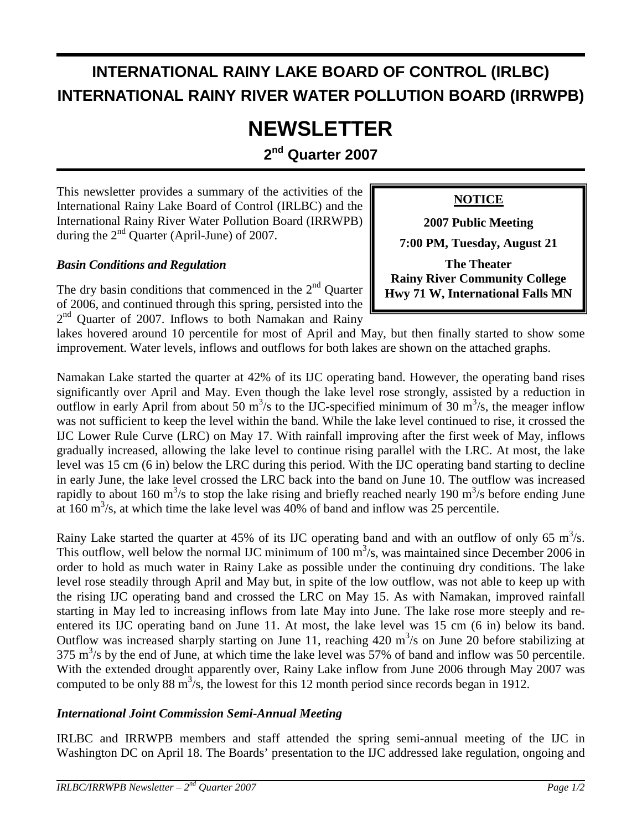## **INTERNATIONAL RAINY LAKE BOARD OF CONTROL (IRLBC) INTERNATIONAL RAINY RIVER WATER POLLUTION BOARD (IRRWPB)**

# **NEWSLETTER**

**2nd Quarter 2007** 

This newsletter provides a summary of the activities of the International Rainy Lake Board of Control (IRLBC) and the International Rainy River Water Pollution Board (IRRWPB) during the  $2<sup>nd</sup>$  Ouarter (April-June) of 2007.

#### *Basin Conditions and Regulation*

The dry basin conditions that commenced in the  $2<sup>nd</sup>$  Quarter of 2006, and continued through this spring, persisted into the 2<sup>nd</sup> Ouarter of 2007. Inflows to both Namakan and Rainy

#### **NOTICE**

**2007 Public Meeting** 

**7:00 PM, Tuesday, August 21** 

**The Theater Rainy River Community College Hwy 71 W, International Falls MN**

lakes hovered around 10 percentile for most of April and May, but then finally started to show some improvement. Water levels, inflows and outflows for both lakes are shown on the attached graphs.

Namakan Lake started the quarter at 42% of its IJC operating band. However, the operating band rises significantly over April and May. Even though the lake level rose strongly, assisted by a reduction in outflow in early April from about 50  $\text{m}^3$ /s to the IJC-specified minimum of 30  $\text{m}^3$ /s, the meager inflow was not sufficient to keep the level within the band. While the lake level continued to rise, it crossed the IJC Lower Rule Curve (LRC) on May 17. With rainfall improving after the first week of May, inflows gradually increased, allowing the lake level to continue rising parallel with the LRC. At most, the lake level was 15 cm (6 in) below the LRC during this period. With the IJC operating band starting to decline in early June, the lake level crossed the LRC back into the band on June 10. The outflow was increased rapidly to about 160 m<sup>3</sup>/s to stop the lake rising and briefly reached nearly 190 m<sup>3</sup>/s before ending June at  $160 \text{ m}^3$ /s, at which time the lake level was  $40\%$  of band and inflow was 25 percentile.

Rainy Lake started the quarter at 45% of its IJC operating band and with an outflow of only 65  $m^3/s$ . This outflow, well below the normal IJC minimum of 100  $\mathrm{m}^3$ /s, was maintained since December 2006 in order to hold as much water in Rainy Lake as possible under the continuing dry conditions. The lake level rose steadily through April and May but, in spite of the low outflow, was not able to keep up with the rising IJC operating band and crossed the LRC on May 15. As with Namakan, improved rainfall starting in May led to increasing inflows from late May into June. The lake rose more steeply and reentered its IJC operating band on June 11. At most, the lake level was 15 cm (6 in) below its band. Outflow was increased sharply starting on June 11, reaching  $420 \text{ m}^3/\text{s}$  on June 20 before stabilizing at  $375 \text{ m}^3\text{/s}$  by the end of June, at which time the lake level was 57% of band and inflow was 50 percentile. With the extended drought apparently over, Rainy Lake inflow from June 2006 through May 2007 was computed to be only 88  $\text{m}^3$ /s, the lowest for this 12 month period since records began in 1912.

#### *International Joint Commission Semi-Annual Meeting*

IRLBC and IRRWPB members and staff attended the spring semi-annual meeting of the IJC in Washington DC on April 18. The Boards' presentation to the IJC addressed lake regulation, ongoing and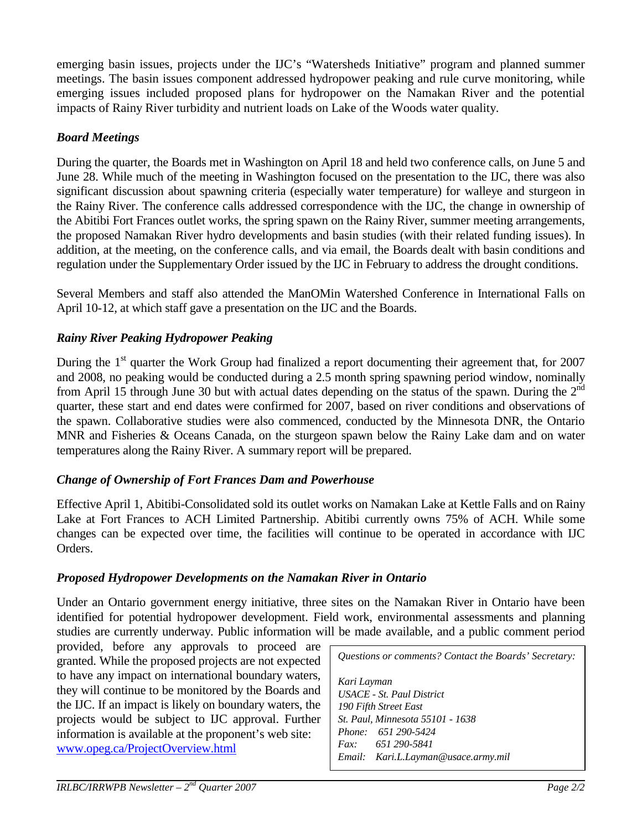emerging basin issues, projects under the IJC's "Watersheds Initiative" program and planned summer meetings. The basin issues component addressed hydropower peaking and rule curve monitoring, while emerging issues included proposed plans for hydropower on the Namakan River and the potential impacts of Rainy River turbidity and nutrient loads on Lake of the Woods water quality.

#### *Board Meetings*

During the quarter, the Boards met in Washington on April 18 and held two conference calls, on June 5 and June 28. While much of the meeting in Washington focused on the presentation to the IJC, there was also significant discussion about spawning criteria (especially water temperature) for walleye and sturgeon in the Rainy River. The conference calls addressed correspondence with the IJC, the change in ownership of the Abitibi Fort Frances outlet works, the spring spawn on the Rainy River, summer meeting arrangements, the proposed Namakan River hydro developments and basin studies (with their related funding issues). In addition, at the meeting, on the conference calls, and via email, the Boards dealt with basin conditions and regulation under the Supplementary Order issued by the IJC in February to address the drought conditions.

Several Members and staff also attended the ManOMin Watershed Conference in International Falls on April 10-12, at which staff gave a presentation on the IJC and the Boards.

#### *Rainy River Peaking Hydropower Peaking*

During the  $1<sup>st</sup>$  quarter the Work Group had finalized a report documenting their agreement that, for 2007 and 2008, no peaking would be conducted during a 2.5 month spring spawning period window, nominally from April 15 through June 30 but with actual dates depending on the status of the spawn. During the  $2<sup>nd</sup>$ quarter, these start and end dates were confirmed for 2007, based on river conditions and observations of the spawn. Collaborative studies were also commenced, conducted by the Minnesota DNR, the Ontario MNR and Fisheries & Oceans Canada, on the sturgeon spawn below the Rainy Lake dam and on water temperatures along the Rainy River. A summary report will be prepared.

#### *Change of Ownership of Fort Frances Dam and Powerhouse*

Effective April 1, Abitibi-Consolidated sold its outlet works on Namakan Lake at Kettle Falls and on Rainy Lake at Fort Frances to ACH Limited Partnership. Abitibi currently owns 75% of ACH. While some changes can be expected over time, the facilities will continue to be operated in accordance with IJC Orders.

#### *Proposed Hydropower Developments on the Namakan River in Ontario*

Under an Ontario government energy initiative, three sites on the Namakan River in Ontario have been identified for potential hydropower development. Field work, environmental assessments and planning studies are currently underway. Public information will be made available, and a public comment period

provided, before any approvals to proceed are granted. While the proposed projects are not expected to have any impact on international boundary waters, they will continue to be monitored by the Boards and the IJC. If an impact is likely on boundary waters, the projects would be subject to IJC approval. Further information is available at the proponent's web site: www.opeg.ca/ProjectOverview.html

*Questions or comments? Contact the Boards' Secretary: Kari Layman USACE - St. Paul District 190 Fifth Street East St. Paul, Minnesota 55101 - 1638 Phone: 651 290-5424 Fax: 651 290-5841 Email: Kari.L.Layman@usace.army.mil*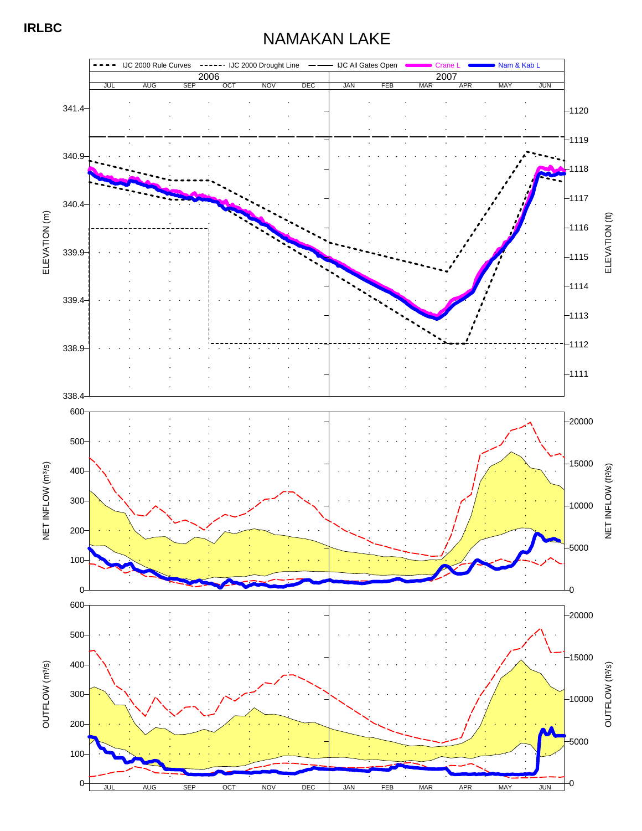## NAMAKAN LAKE